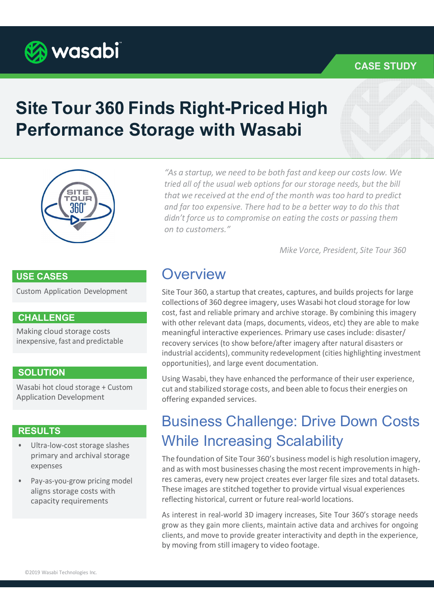

### CASE STUDY

# Site Tour 360 Finds Right-Priced High Performance Storage with Wasabi



"As a startup, we need to be both fast and keep our costs low. We tried all of the usual web options for our storage needs, but the bill that we received at the end of the month was too hard to predict and far too expensive. There had to be a better way to do this that didn't force us to compromise on eating the costs or passing them on to customers."

Mike Vorce, President, Site Tour 360

### USE CASES

Custom Application Development

#### CHALLENGE

Making cloud storage costs inexpensive, fast and predictable

### **SOLUTION**

Wasabi hot cloud storage + Custom Application Development

### RESULTS

- Ultra-low-cost storage slashes primary and archival storage expenses
- Pay-as-you-grow pricing model aligns storage costs with capacity requirements

### **Overview**

Site Tour 360, a startup that creates, captures, and builds projects for large collections of 360 degree imagery, uses Wasabi hot cloud storage for low cost, fast and reliable primary and archive storage. By combining this imagery with other relevant data (maps, documents, videos, etc) they are able to make meaningful interactive experiences. Primary use cases include: disaster/ recovery services (to show before/after imagery after natural disasters or industrial accidents), community redevelopment (cities highlighting investment opportunities), and large event documentation.

Using Wasabi, they have enhanced the performance of their user experience, cut and stabilized storage costs, and been able to focus their energies on offering expanded services.

## Business Challenge: Drive Down Costs While Increasing Scalability

The foundation of Site Tour 360's business model is high resolution imagery, and as with most businesses chasing the most recent improvements in highres cameras, every new project creates ever larger file sizes and total datasets. These images are stitched together to provide virtual visual experiences reflecting historical, current or future real-world locations.

As interest in real-world 3D imagery increases, Site Tour 360's storage needs grow as they gain more clients, maintain active data and archives for ongoing clients, and move to provide greater interactivity and depth in the experience, by moving from still imagery to video footage.